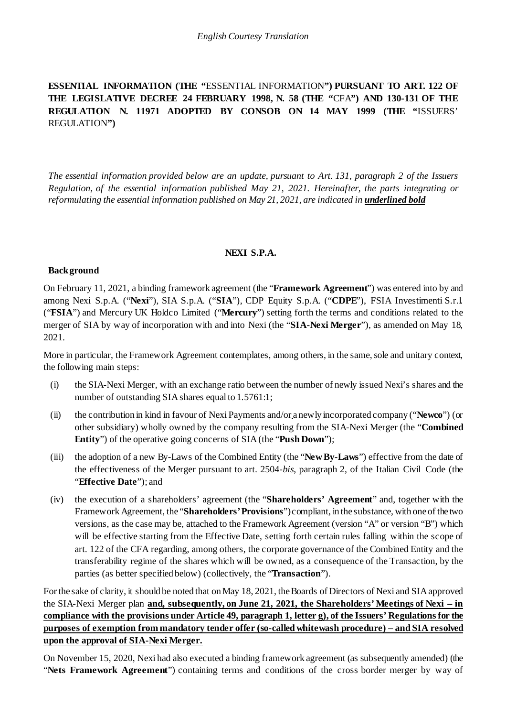## **ESSENTIAL INFORMATION (THE "**ESSENTIAL INFORMATION**") PURSUANT TO ART. 122 OF THE LEGISLATIVE DECREE 24 FEBRUARY 1998, N. 58 (THE "**CFA**") AND 130-131 OF THE REGULATION N. 11971 ADOPTED BY CONSOB ON 14 MAY 1999 (THE "**ISSUERS' REGULATION**")**

*The essential information provided below are an update, pursuant to Art. 131, paragraph 2 of the Issuers Regulation, of the essential information published May 21, 2021. Hereinafter, the parts integrating or reformulating the essential information published on May 21, 2021, are indicated in underlined bold*

#### **NEXI S.P.A.**

#### **Background**

On February 11, 2021, a binding framework agreement (the "**Framework Agreement**") was entered into by and among Nexi S.p.A. ("**Nexi**"), SIA S.p.A. ("**SIA**"), CDP Equity S.p.A. ("**CDPE**"), FSIA Investimenti S.r.l. ("**FSIA**") and Mercury UK Holdco Limited ("**Mercury**") setting forth the terms and conditions related to the merger of SIA by way of incorporation with and into Nexi (the "**SIA-Nexi Merger**"), as amended on May 18, 2021.

More in particular, the Framework Agreement contemplates, among others, in the same, sole and unitary context, the following main steps:

- (i) the SIA-Nexi Merger, with an exchange ratio between the number of newly issued Nexi's shares and the number of outstanding SIA shares equal to 1.5761:1;
- (ii) the contribution in kind in favour of Nexi Payments and/or a newly incorporated company ("**Newco**") (or other subsidiary) wholly owned by the company resulting from the SIA-Nexi Merger (the "**Combined Entity**") of the operative going concerns of SIA (the "**Push Down**");
- (iii) the adoption of a new By-Laws of the Combined Entity (the "**NewBy-Laws**") effective from the date of the effectiveness of the Merger pursuant to art. 2504-*bis*, paragraph 2, of the Italian Civil Code (the "**Effective Date**"); and
- (iv) the execution of a shareholders' agreement (the "**Shareholders' Agreement**" and, together with the FrameworkAgreement, the "**Shareholders'Provisions**")compliant, in the substance, with one of the two versions, as the case may be, attached to the Framework Agreement (version "A" or version "B") which will be effective starting from the Effective Date, setting forth certain rules falling within the scope of art. 122 of the CFA regarding, among others, the corporate governance of the Combined Entity and the transferability regime of the shares which will be owned, as a consequence of the Transaction, by the parties (as better specified below) (collectively, the "**Transaction**").

For the sake of clarity, it should be noted that on May 18, 2021, the Boards of Directors of Nexi and SIA approved the SIA-Nexi Merger plan **and, subsequently, on June 21, 2021, the Shareholders' Meetings of Nexi – in compliance with the provisions under Article 49, paragraph 1, letter g), of the Issuers' Regulations for the purposes of exemption from mandatory tender offer (so-called whitewash procedure) – and SIA resolved upon the approval of SIA-Nexi Merger.**

On November 15, 2020, Nexi had also executed a binding framework agreement (as subsequently amended) (the "**Nets Framework Agreement**") containing terms and conditions of the cross border merger by way of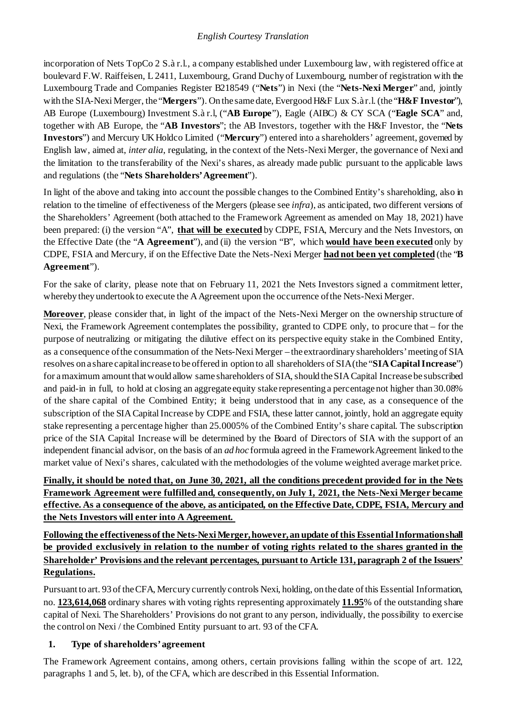incorporation of Nets TopCo 2 S.à r.l., a company established under Luxembourg law, with registered office at boulevard F.W. Raiffeisen, L 2411, Luxembourg, Grand Duchy of Luxembourg, number of registration with the Luxembourg Trade and Companies Register B218549 ("**Nets**") in Nexi (the "**Nets-Nexi Merger**" and, jointly with the SIA-Nexi Merger, the "**Mergers**"). On the same date, Evergood H&F Lux S.à r.l. (the "**H&F Investor**"), AB Europe (Luxembourg) Investment S.à r.l, ("**AB Europe**"), Eagle (AIBC) & CY SCA ("**Eagle SCA**" and, together with AB Europe, the "**AB Investors**"; the AB Investors, together with the H&F Investor, the "**Nets Investors**") and Mercury UK Holdco Limited ("**Mercury**") entered into a shareholders' agreement, governed by English law, aimed at, *inter alia*, regulating, in the context of the Nets-Nexi Merger, the governance of Nexi and the limitation to the transferability of the Nexi's shares, as already made public pursuant to the applicable laws and regulations (the "**Nets Shareholders'Agreement**").

In light of the above and taking into account the possible changes to the Combined Entity's shareholding, also in relation to the timeline of effectiveness of the Mergers (please see *infra*), as anticipated, two different versions of the Shareholders' Agreement (both attached to the Framework Agreement as amended on May 18, 2021) have been prepared: (i) the version "A", **that will be executed** by CDPE, FSIA, Mercury and the Nets Investors, on the Effective Date (the "**A Agreement**"), and (ii) the version "B", which **would have been executed** only by CDPE, FSIA and Mercury, if on the Effective Date the Nets-Nexi Merger **had not been yet completed** (the "**B Agreement**").

For the sake of clarity, please note that on February 11, 2021 the Nets Investors signed a commitment letter, whereby they undertook to execute the AAgreement upon the occurrence ofthe Nets-Nexi Merger.

**Moreover**, please consider that, in light of the impact of the Nets-Nexi Merger on the ownership structure of Nexi, the Framework Agreement contemplates the possibility, granted to CDPE only, to procure that – for the purpose of neutralizing or mitigating the dilutive effect on its perspective equity stake in the Combined Entity, as a consequence ofthe consummation of the Nets-Nexi Merger – the extraordinary shareholders'meeting of SIA resolves on a share capitalincrease to be offered in option to all shareholders of SIA (the "**SIA Capital Increase**") for a maximum amount that would allow same shareholders of SIA, should the SIA Capital Increase be subscribed and paid-in in full, to hold at closing an aggregate equity stake representing a percentage not higher than 30.08% of the share capital of the Combined Entity; it being understood that in any case, as a consequence of the subscription of the SIA Capital Increase by CDPE and FSIA, these latter cannot, jointly, hold an aggregate equity stake representing a percentage higher than 25.0005% of the Combined Entity's share capital. The subscription price of the SIA Capital Increase will be determined by the Board of Directors of SIA with the support of an independent financial advisor, on the basis of an *ad hoc* formula agreed in the FrameworkAgreement linked to the market value of Nexi's shares, calculated with the methodologies of the volume weighted average market price.

# **Finally, it should be noted that, on June 30, 2021, all the conditions precedent provided for in the Nets Framework Agreement were fulfilled and, consequently, on July 1, 2021, the Nets-Nexi Merger became effective. As a consequence of the above, as anticipated, on the Effective Date, CDPE, FSIA, Mercury and the Nets Investors will enter into A Agreement.**

**Following the effectiveness of the Nets-Nexi Merger, however, an update of this Essential Information shall be provided exclusively in relation to the number of voting rights related to the shares granted in the Shareholder' Provisions and the relevant percentages, pursuant to Article 131, paragraph 2 of the Issuers' Regulations.**

Pursuant to art. 93 of the CFA, Mercury currently controls Nexi, holding, on the date of this Essential Information, no. **123,614,068** ordinary shares with voting rights representing approximately **11.95**% of the outstanding share capital of Nexi. The Shareholders' Provisions do not grant to any person, individually, the possibility to exercise the control on Nexi / the Combined Entity pursuant to art. 93 of the CFA.

# **1. Type of shareholders'agreement**

The Framework Agreement contains, among others, certain provisions falling within the scope of art. 122, paragraphs 1 and 5, let. b), of the CFA, which are described in this Essential Information.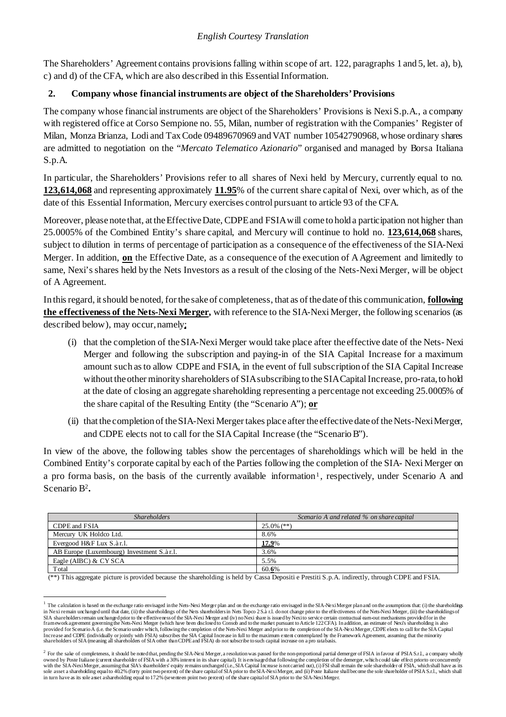The Shareholders' Agreement contains provisionsfalling within scope of art. 122, paragraphs 1 and 5, let. a), b), c) and d) of the CFA, which are also described in this EssentialInformation.

## **2. Company whose financial instruments are object of the Shareholders'Provisions**

The company whose financial instruments are object of the Shareholders' Provisions is Nexi S.p.A., a company with registered office at Corso Sempione no. 55, Milan, number of registration with the Companies' Register of Milan, Monza Brianza, Lodi and TaxCode 09489670969 andVAT number 10542790968, whose ordinary shares are admitted to negotiation on the "*Mercato Telematico Azionario*" organised and managed by Borsa Italiana S.p.A.

In particular, the Shareholders' Provisions refer to all shares of Nexi held by Mercury, currently equal to no. **123,614,068** and representing approximately **11.95**% of the current share capital of Nexi, over which, as of the date of this Essential Information, Mercury exercises control pursuant to article 93 of the CFA.

Moreover, please note that, at the Effective Date, CDPE and FSIA will come to hold a participation not higher than 25.0005% of the Combined Entity's share capital, and Mercury will continue to hold no. **123,614,068** shares, subject to dilution in terms of percentage of participation as a consequence of the effectiveness of the SIA-Nexi Merger. In addition, **on** the Effective Date, as a consequence of the execution of AAgreement and limitedly to same, Nexi'sshares held by the Nets Investors as a result of the closing of the Nets-Nexi Merger, will be object of A Agreement.

In thisregard, itshould be noted, for the sake of completeness, that as of the date of this communication, **following the effectiveness of the Nets-Nexi Merger,** with reference to the SIA-Nexi Merger, the following scenarios (as described below), may occur,namely:

- (i) that the completion of theSIA-Nexi Merger would take place after the effective date of the Nets- Nexi Merger and following the subscription and paying-in of the SIA Capital Increase for a maximum amount such asto allow CDPE and FSIA, in the event of full subscription of the SIA Capital Increase without the other minority shareholders of SIA subscribing to the SIACapital Increase, pro-rata, to hold at the date of closing an aggregate shareholding representing a percentage not exceeding 25.0005% of the share capital of the Resulting Entity (the "Scenario A"); **or**
- (ii) that the completion of the SIA-Nexi Merger takes place after the effective date of the Nets-Nexi Merger, and CDPE elects not to call for the SIA Capital Increase (the "ScenarioB").

In view of the above, the following tables show the percentages of shareholdings which will be held in the Combined Entity's corporate capital by each of the Parties following the completion of the SIA- Nexi Merger on a pro forma basis, on the basis of the currently available information<sup>[1](#page-2-0)</sup>, respectively, under Scenario A and Scenario [B2](#page-2-1)**.**

| <b>Shareholders</b>                       | Scenario A and related % on share capital |
|-------------------------------------------|-------------------------------------------|
| CDPE and FSIA                             | $25.0\%$ (**)                             |
| Mercury UK Holdco Ltd.                    | 8.6%                                      |
| Evergood H&F Lux S.àr.l.                  | <u>17.9%</u>                              |
| AB Europe (Luxembourg) Investment S.àr.1. | 3.6%                                      |
| Eagle (AIBC) & CYSCA                      | 5.5%                                      |
| Total                                     | 60.6%                                     |

(\*\*) This aggregate picture is provided because the shareholding is held by Cassa Depositi e Prestiti S.p.A. indirectly, through CDPE and FSIA.

<span id="page-2-0"></span><sup>&</sup>lt;sup>1</sup> The calculation is based on the exchange ratio envisaged in the Nets-Nexi Merger plan and on the exchange ratio envisaged in the SIA-Nexi Merger plan and on the assumptions that: (i) the shareholdings in Nexi remain unchanged until that date, (ii) the shareholdings of the Nets shareholders in Nets Topco 2 S.à r.l. do not change prior to the effectiveness of the Nets-Nexi Merger, (iii) the shareholdingsof SIA shareholders remain unchanged prior to the effectiveness of the SIA-Nexi Merger and (iv) no Nexi share is issued by Nexi to service certain contractual eam-out mechanisms provided for in the<br>fram ework agreement govern provided for Scenario A (i.e. the Scenario under which, following the completion of the Nets-Nexi Merger and prior to the completion of the SIA-Nexi Merger, CDPE elects to call for the SIA Capital<br>Increase and CDPE (indivi

<span id="page-2-1"></span> $2$  For the sake of completeness, it should be noted that, pending the SIA-Nexi Merger, a resolution was passed for the non-proportional partial demerger of FSIA in favour of PSIA S.r.l., a company wholly owned by Poste Italiane (curent sharcholder of FSIA with a 30% interes in its share capital). It is envisaged that following the completion of the demerger, which could take effect priorto or concurrently with the SIA witc in turn have as its sole asset ashareholding equal to 172% (seventeen point two percent) of the share capital of SIA prior to the SIA-NexiMerger.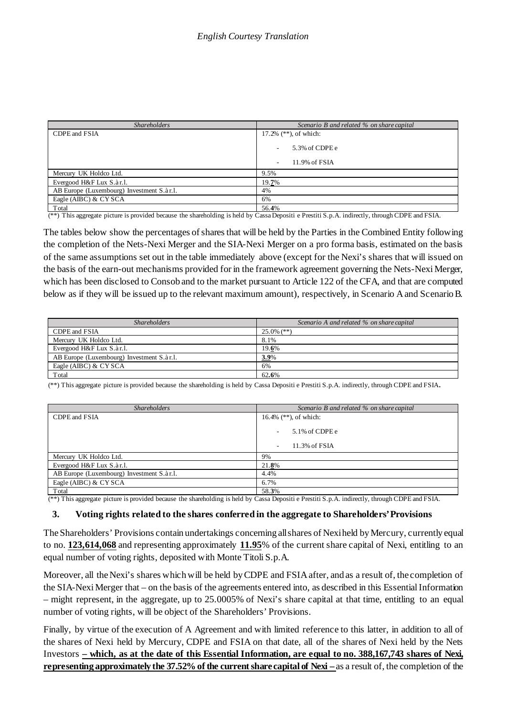| <b>Shareholders</b>                       | Scenario B and related % on share capital |
|-------------------------------------------|-------------------------------------------|
| CDPE and FSIA                             | 17.2% $(**)$ , of which:                  |
|                                           | 5.3% of CDPE e                            |
|                                           | 11.9% of FSIA                             |
| Mercury UK Holdco Ltd.                    | 9.5%                                      |
| Evergood H&F Lux S.àr.l.                  | 19.7%                                     |
| AB Europe (Luxembourg) Investment S.àr.1. | 4%                                        |
| Eagle (AIBC) & CYSCA                      | 6%                                        |
| Total                                     | 56.4%                                     |

(\*\*) This aggregate picture is provided because the shareholding is held by Cassa Depositi e Prestiti S.p.A. indirectly, through CDPE and FSIA.

The tables below show the percentages of shares that will be held by the Parties in the Combined Entity following the completion of the Nets-Nexi Merger and the SIA-Nexi Merger on a pro forma basis, estimated on the basis of the same assumptions set out in the table immediately above (except for the Nexi's shares that will issued on the basis of the earn-out mechanisms provided for in the framework agreement governing the Nets-Nexi Merger, which has been disclosed to Consob and to the market pursuant to Article 122 of the CFA, and that are computed below as if they will be issued up to the relevant maximum amount), respectively, in Scenario A and ScenarioB.

| <b>Shareholders</b>                       | Scenario A and related % on share capital |
|-------------------------------------------|-------------------------------------------|
| CDPE and FSIA                             | $25.0\%$ (**)                             |
| Mercury UK Holdco Ltd.                    | 8.1%                                      |
| Evergood H&F Lux S.àr.l.                  | 19.6%                                     |
| AB Europe (Luxembourg) Investment S.àr.1. | <b>3.9%</b>                               |
| Eagle (AIBC) & CYSCA                      | 6%                                        |
| Total                                     | 62.6%                                     |

(\*\*) This aggregate picture is provided because the shareholding is held by Cassa Depositi e Prestiti S.p.A. indirectly, through CDPE and FSIA.

| <b>Shareholders</b>                       | Scenario B and related % on share capital |
|-------------------------------------------|-------------------------------------------|
| CDPE and FSIA                             | 16.4% $(**)$ , of which:                  |
|                                           | 5.1% of CDPE e                            |
|                                           | 11.3% of FSIA<br>۰                        |
| Mercury UK Holdco Ltd.                    | 9%                                        |
| Evergood H&F Lux S.àr.l.                  | 21.8%                                     |
| AB Europe (Luxembourg) Investment S.àr.1. | 4.4%                                      |
| Eagle (AIBC) & CYSCA                      | 6.7%                                      |
| Total                                     | 58.3%                                     |

(\*\*) This aggregate picture is provided because the shareholding is held by Cassa Depositi e Prestiti S.p.A. indirectly, through CDPE and FSIA.

#### **3. Voting rights related to the shares conferred in the aggregate to Shareholders'Provisions**

The Shareholders' Provisions contain undertakings concerning all shares of Nexiheld by Mercury, currently equal to no. **123,614,068** and representing approximately **11.95**% of the current share capital of Nexi, entitling to an equal number of voting rights, deposited with Monte Titoli S.p.A.

Moreover, all the Nexi's shares which will be held by CDPE and FSIA after, and as a result of, the completion of the SIA-Nexi Merger that – on the basis of the agreements entered into, as described in this Essential Information – might represent, in the aggregate, up to 25.0005% of Nexi's share capital at that time, entitling to an equal number of voting rights, will be object of the Shareholders' Provisions.

Finally, by virtue of the execution of A Agreement and with limited reference to this latter, in addition to all of the shares of Nexi held by Mercury, CDPE and FSIA on that date, all of the shares of Nexi held by the Nets Investors **– which, as at the date of this Essential Information, are equal to no. 388,167,743 shares of Nexi, representing approximately the 37.52% of the current share capital of Nexi –** as a result of, the completion of the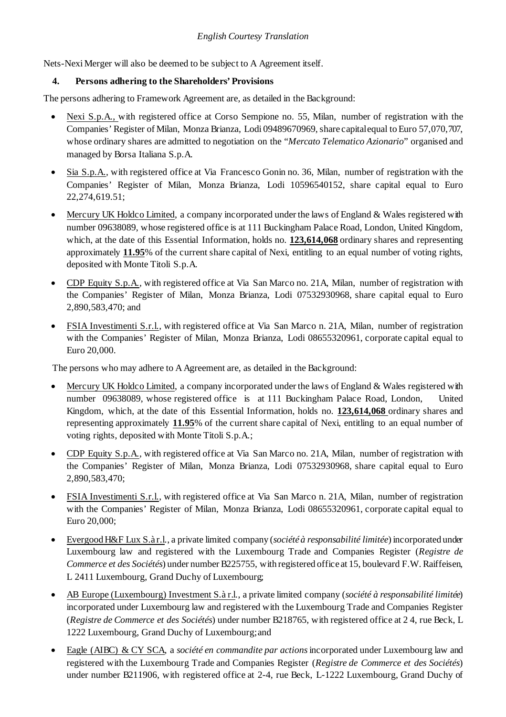Nets-Nexi Merger will also be deemed to be subject to A Agreement itself.

### **4. Persons adhering to the Shareholders' Provisions**

The persons adhering to Framework Agreement are, as detailed in the Background:

- Nexi S.p.A., with registered office at Corso Sempione no. 55, Milan, number of registration with the Companies' Register of Milan, Monza Brianza, Lodi 09489670969, share capital equal to Euro 57,070,707, whose ordinary shares are admitted to negotiation on the "*Mercato Telematico Azionario*" organised and managed by Borsa Italiana S.p.A.
- Sia S.p.A., with registered office at Via Francesco Gonin no. 36, Milan, number of registration with the Companies' Register of Milan, Monza Brianza, Lodi 10596540152, share capital equal to Euro 22,274,619.51;
- Mercury UK Holdco Limited, a company incorporated under the laws of England & Wales registered with number 09638089, whose registered office is at 111 Buckingham Palace Road, London, United Kingdom, which, at the date of this Essential Information, holds no. **123,614,068** ordinary shares and representing approximately **11.95**% of the current share capital of Nexi, entitling to an equal number of voting rights, deposited with Monte Titoli S.p.A.
- CDP Equity S.p.A., with registered office at Via San Marco no. 21A, Milan, number of registration with the Companies' Register of Milan, Monza Brianza, Lodi 07532930968, share capital equal to Euro 2,890,583,470; and
- FSIA Investimenti S.r.l., with registered office at Via San Marco n. 21A, Milan, number of registration with the Companies' Register of Milan, Monza Brianza, Lodi 08655320961, corporate capital equal to Euro 20,000.

The persons who may adhere to A Agreement are, as detailed in the Background:

- Mercury UK Holdco Limited, a company incorporated under the laws of England & Wales registered with number 09638089, whose registered office is at 111 Buckingham Palace Road, London, United Kingdom, which, at the date of this Essential Information, holds no. **123,614,068** ordinary shares and representing approximately **11.95**% of the current share capital of Nexi, entitling to an equal number of voting rights, deposited with Monte Titoli S.p.A.;
- CDP Equity S.p.A., with registered office at Via San Marco no. 21A, Milan, number of registration with the Companies' Register of Milan, Monza Brianza, Lodi 07532930968, share capital equal to Euro 2,890,583,470;
- FSIA Investimenti S.r.l., with registered office at Via San Marco n. 21A, Milan, number of registration with the Companies' Register of Milan, Monza Brianza, Lodi 08655320961, corporate capital equal to Euro 20,000;
- Evergood H&F Lux S.à r.l., a private limited company (*société à responsabilité limitée*) incorporated under Luxembourg law and registered with the Luxembourg Trade and Companies Register (*Registre de Commerce et des Sociétés*) under number B225755, with registered office at 15, boulevard F.W. Raiffeisen, L 2411 Luxembourg, Grand Duchy of Luxembourg;
- AB Europe (Luxembourg) Investment S.à r.l., a private limited company (*société à responsabilité limitée*) incorporated under Luxembourg law and registered with the Luxembourg Trade and Companies Register (*Registre de Commerce et des Sociétés*) under number B218765, with registered office at 2 4, rue Beck, L 1222 Luxembourg, Grand Duchy of Luxembourg;and
- Eagle (AIBC) & CY SCA, a *société en commandite par actions*incorporated under Luxembourg law and registered with the Luxembourg Trade and Companies Register (*Registre de Commerce et des Sociétés*) under number B211906, with registered office at 2-4, rue Beck, L-1222 Luxembourg, Grand Duchy of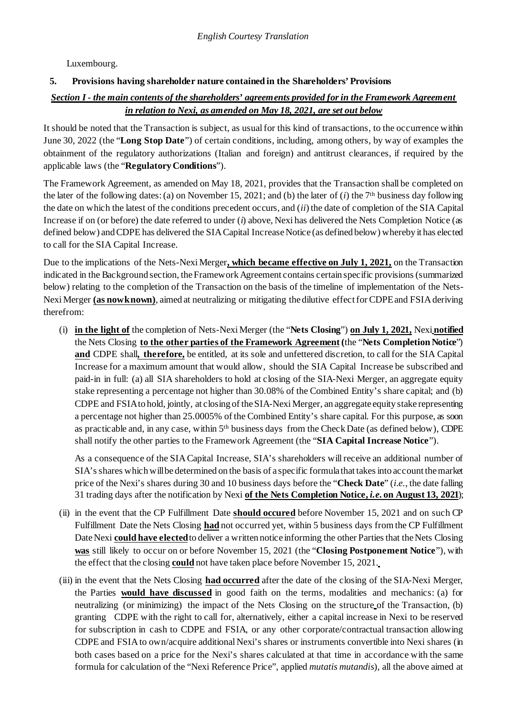Luxembourg.

# **5. Provisions having shareholder nature contained in the Shareholders' Provisions**

# *Section I - the main contents of the shareholders' agreements provided for in the Framework Agreement in relation to Nexi, as amended on May 18, 2021, are set out below*

It should be noted that the Transaction is subject, as usual for this kind of transactions, to the occurrence within June 30, 2022 (the "**Long Stop Date**") of certain conditions, including, among others, by way of examples the obtainment of the regulatory authorizations (Italian and foreign) and antitrust clearances, if required by the applicable laws (the "**RegulatoryConditions**").

The Framework Agreement, as amended on May 18, 2021, provides that the Transaction shall be completed on the later of the following dates: (a) on November 15, 2021; and (b) the later of  $(i)$  the 7<sup>th</sup> business day following the date on which the latest of the conditions precedent occurs, and (*ii*) the date of completion of the SIA Capital Increase if on (or before) the date referred to under (*i*) above, Nexi has delivered the Nets Completion Notice (as defined below) and CDPE has delivered the SIA Capital Increase Notice (as defined below) whereby it has elected to call for the SIA Capital Increase.

Due to the implications of the Nets-Nexi Merger**, which became effective on July 1, 2021,** on the Transaction indicated in the Background section, the Framework Agreement contains certain specific provisions (summarized below) relating to the completion of the Transaction on the basis of the timeline of implementation of the Nets-Nexi Merger **(as now known)**, aimed at neutralizing or mitigating the dilutive effect for CDPE and FSIA deriving therefrom:

(i) **in the light of** the completion of Nets-Nexi Merger (the "**Nets Closing**") **on July 1, 2021,** Nexi **notified** the Nets Closing **to the other parties of the Framework Agreement(**the "**Nets Completion Notice**") **and** CDPE shall**, therefore,** be entitled, at its sole and unfettered discretion, to callfor the SIA Capital Increase for a maximum amount that would allow, should the SIA Capital Increase be subscribed and paid-in in full: (a) all SIA shareholders to hold at closing of the SIA-Nexi Merger, an aggregate equity stake representing a percentage not higher than 30.08% of the Combined Entity's share capital; and (b) CDPE and FSIA to hold, jointly, at closing of theSIA-Nexi Merger, an aggregate equity stake representing a percentage not higher than 25.0005% of the Combined Entity's share capital. For this purpose, as soon as practicable and, in any case, within 5th business days from the Check Date (as defined below), CDPE shall notify the other parties to the Framework Agreement (the "**SIA Capital Increase Notice**").

As a consequence of the SIA Capital Increase, SIA's shareholders will receive an additional number of SIA's shares which will be determined on the basis of a specific formula that takes into account the market price of the Nexi's shares during 30 and 10 business days before the "**Check Date**" (*i.e*., the date falling 31 trading days after the notification by Nexi **of the Nets Completion Notice,** *i.e***. on August 13, 2021**);

- (ii) in the event that the CP Fulfillment Date **should occured** before November 15, 2021 and on such CP Fulfillment Date the Nets Closing **had** not occurred yet, within 5 business days fromthe CP Fulfillment Date Nexi **could have elected** to deliver a written notice informing the other Parties that the Nets Closing **was** still likely to occur on or before November 15, 2021 (the "**Closing Postponement Notice**"), with the effect that the closing **could** not have taken place before November 15, 2021.
- (iii) in the event that the Nets Closing **had occurred** after the date of the closing of the SIA-Nexi Merger, the Parties **would have discussed** in good faith on the terms, modalities and mechanics: (a) for neutralizing (or minimizing) the impact of the Nets Closing on the structure of the Transaction, (b) granting CDPE with the right to call for, alternatively, either a capital increase in Nexi to be reserved for subscription in cash to CDPE and FSIA, or any other corporate/contractual transaction allowing CDPE and FSIA to own/acquire additional Nexi's shares or instruments convertible into Nexi shares (in both cases based on a price for the Nexi's shares calculated at that time in accordance with the same formula for calculation of the "Nexi Reference Price", applied *mutatis mutandis*), all the above aimed at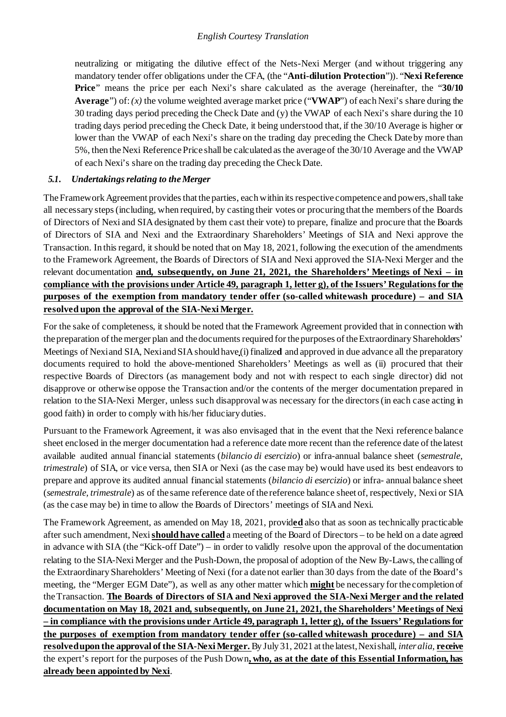neutralizing or mitigating the dilutive effect of the Nets-Nexi Merger (and without triggering any mandatory tender offer obligations under the CFA, (the "**Anti-dilution Protection**")). "**Nexi Reference Price**" means the price per each Nexi's share calculated as the average (hereinafter, the "**30/10 Average**") of: *(x)* the volume weighted average market price ("**VWAP**") of each Nexi's share during the 30 trading days period preceding the Check Date and (y) the VWAP of each Nexi's share during the 10 trading days period preceding the Check Date, it being understood that, if the 30/10 Average is higher or lower than the VWAP of each Nexi's share on the trading day preceding the Check Date by more than 5%, then the Nexi Reference Price shall be calculated as the average of the 30/10 Average and the VWAP of each Nexi's share on the trading day preceding the CheckDate.

### *5.1. Undertakings relating to theMerger*

The Framework Agreement provides that the parties, each within its respective competence and powers, shall take all necessary steps(including, when required, by casting their votes or procuring that the members of the Boards of Directors of Nexi and SIAdesignated by them cast their vote) to prepare, finalize and procure that the Boards of Directors of SIA and Nexi and the Extraordinary Shareholders' Meetings of SIA and Nexi approve the Transaction. In thisregard, it should be noted that on May 18, 2021, following the execution of the amendments to the Framework Agreement, the Boards of Directors of SIA and Nexi approved the SIA-Nexi Merger and the relevant documentation and, subsequently, on June 21, 2021, the Shareholders' Meetings of Nexi – in **compliance with the provisions under Article 49, paragraph 1, letter g), of the Issuers' Regulations for the purposes of the exemption from mandatory tender offer (so-called whitewash procedure) – and SIA resolved upon the approval of the SIA-Nexi Merger.**

For the sake of completeness, it should be noted that the Framework Agreement provided that in connection with the preparation of the merger plan and the documents required for the purposes of the Extraordinary Shareholders' Meetings of Nexiand SIA, Nexiand SIAshould have (i) finalize**d** and approved in due advance all the preparatory documents required to hold the above-mentioned Shareholders' Meetings as well as (ii) procured that their respective Boards of Directors (as management body and not with respect to each single director) did not disapprove or otherwise oppose the Transaction and/or the contents of the merger documentation prepared in relation to the SIA-Nexi Merger, unless such disapproval was necessary for the directors (in each case acting in good faith) in order to comply with his/her fiduciary duties.

Pursuant to the Framework Agreement, it was also envisaged that in the event that the Nexi reference balance sheet enclosed in the merger documentation had a reference date more recent than the reference date ofthe latest available audited annual financial statements (*bilancio di esercizio*) or infra-annual balance sheet (*semestrale, trimestrale*) of SIA, or vice versa, then SIA or Nexi (as the case may be) would have used its best endeavors to prepare and approve its audited annual financial statements (*bilancio di esercizio*) or infra- annual balance sheet (*semestrale, trimestrale*) as of the same reference date of the reference balance sheet of, respectively, Nexi or SIA (as the case may be) in time to allow the Boards of Directors' meetings of SIAand Nexi.

The Framework Agreement, as amended on May 18, 2021, provid**ed** also that as soon as technically practicable after such amendment, Nexi **should have called** a meeting of the Board of Directors – to be held on a date agreed in advance with SIA (the "Kick-off Date") – in order to validly resolve upon the approval of the documentation relating to the SIA-Nexi Merger and the Push-Down, the proposal of adoption of the New By-Laws, the calling of the Extraordinary Shareholders' Meeting of Nexi (for a date not earlier than 30 days from the date of the Board's meeting, the "Merger EGM Date"), as well as any other matter which **might** be necessary for the completion of theTransaction. **The Boards of Directors of SIA and Nexi approved the SIA-Nexi Merger and the related documentation on May 18, 2021 and, subsequently, on June 21, 2021, the Shareholders' Meetings of Nexi – in compliance with the provisions under Article 49, paragraph 1, letter g), of the Issuers' Regulations for the purposes of exemption from mandatory tender offer (so-called whitewash procedure) – and SIA resolved upon the approval of the SIA-Nexi Merger.** By July 31, 2021 at the latest,Nexishall, *interalia*, **receive** the expert's report for the purposes of the Push Down**, who, as at the date of this Essential Information, has already been appointed by Nexi**.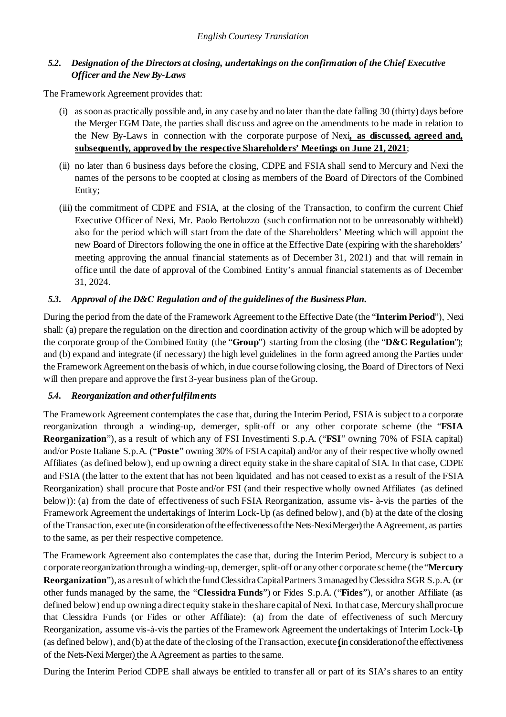## *5.2. Designation of the Directors at closing, undertakings on the confirmation of the Chief Executive Officer and the New By-Laws*

The Framework Agreement provides that:

- (i) as soon as practically possible and, in any case by and no later than the date falling 30 (thirty) days before the Merger EGM Date, the parties shall discuss and agree on the amendments to be made in relation to the New By-Laws in connection with the corporate purpose of Nexi**, as discussed, agreed and, subsequently, approved by the respective Shareholders' Meetings on June 21, 2021**;
- (ii) no later than 6 business days before the closing, CDPE and FSIA shall send to Mercury and Nexi the names of the persons to be coopted at closing as members of the Board of Directors of the Combined Entity;
- (iii) the commitment of CDPE and FSIA, at the closing of the Transaction, to confirm the current Chief Executive Officer of Nexi, Mr. Paolo Bertoluzzo (such confirmation not to be unreasonably withheld) also for the period which will start from the date of the Shareholders' Meeting which will appoint the new Board of Directors following the one in office at the Effective Date (expiring with the shareholders' meeting approving the annual financial statements as of December 31, 2021) and that will remain in office until the date of approval of the Combined Entity's annual financial statements as of December 31, 2024.

## *5.3. Approval of the D&C Regulation and of the guidelines of the BusinessPlan.*

During the period from the date of the Framework Agreement to the Effective Date (the "**Interim Period**"), Nexi shall: (a) prepare the regulation on the direction and coordination activity of the group which will be adopted by the corporate group of the Combined Entity (the "**Group**") starting from the closing (the "**D&C Regulation**"); and (b) expand and integrate (if necessary) the high level guidelines in the form agreed among the Parties under the FrameworkAgreement on the basis of which, in due course following closing, the Board of Directors of Nexi will then prepare and approve the first 3-year business plan of theGroup.

## *5.4. Reorganization and otherfulfilments*

The Framework Agreement contemplates the case that, during the Interim Period, FSIA is subject to a corporate reorganization through a winding-up, demerger, split-off or any other corporate scheme (the "**FSIA Reorganization**"), as a result of which any of FSI Investimenti S.p.A. ("**FSI**" owning 70% of FSIA capital) and/or Poste Italiane S.p.A. ("**Poste**" owning 30% of FSIA capital) and/or any of their respective wholly owned Affiliates (as defined below), end up owning a direct equity stake in the share capital of SIA. In that case, CDPE and FSIA (the latter to the extent that has not been liquidated and has not ceased to exist as a result of the FSIA Reorganization) shall procure that Poste and/or FSI (and their respective wholly owned Affiliates (as defined below)): (a) from the date of effectiveness of such FSIA Reorganization, assume vis- à-vis the parties of the Framework Agreement the undertakings of Interim Lock-Up (as defined below), and (b) at the date of the closing of theTransaction, execute (in consideration of the effectiveness of the Nets-Nexi Merger) theAAgreement, as parties to the same, as per their respective competence.

The Framework Agreement also contemplates the case that, during the Interim Period, Mercury is subject to a corporate reorganization through a winding-up, demerger, split-off or any other corporate scheme (the "**Mercury Reorganization**"), as a result of which the fund Clessidra Capital Partners 3 managed by Clessidra SGR S.p.A. (or other funds managed by the same, the "**Clessidra Funds**") or Fides S.p.A. ("**Fides**"), or another Affiliate (as defined below) end up owning a direct equity stake in the share capital of Nexi. In that case, Mercury shall procure that Clessidra Funds (or Fides or other Affiliate): (a) from the date of effectiveness of such Mercury Reorganization, assume vis-à-vis the parties of the Framework Agreement the undertakings of Interim Lock-Up (as defined below), and (b) at the date of the closing of the Transaction, execute **(**in consideration of the effectiveness of the Nets-Nexi Merger) the A Agreement as parties to the same.

During the Interim Period CDPE shall always be entitled to transfer all or part of its SIA's shares to an entity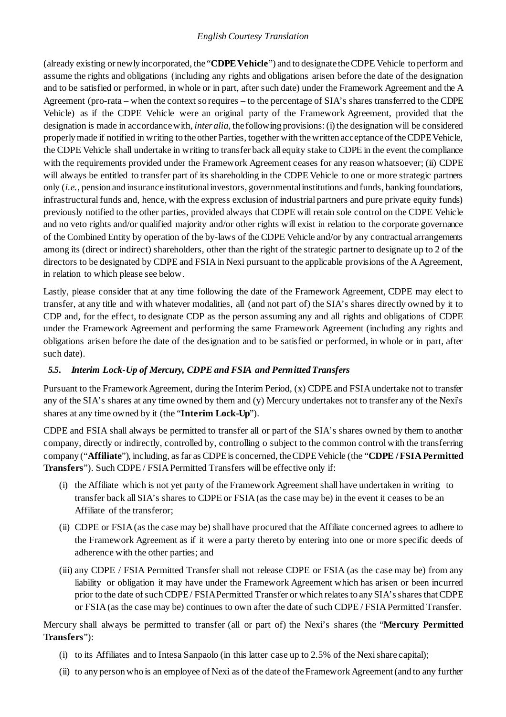(already existing or newly incorporated, the "**CDPEVehicle**") and to designate theCDPE Vehicle to perform and assume the rights and obligations (including any rights and obligations arisen before the date of the designation and to be satisfied or performed, in whole or in part, after such date) under the Framework Agreement and the A Agreement (pro-rata – when the context so requires – to the percentage of SIA's shares transferred to the CDPE Vehicle) as if the CDPE Vehicle were an original party of the Framework Agreement, provided that the designation is made in accordance with, *inter alia*, the following provisions: (i) the designation will be considered properly made if notified in writing to the other Parties, together with the written acceptance of the CDPE Vehicle, the CDPE Vehicle shall undertake in writing to transfer back all equity stake to CDPE in the event the compliance with the requirements provided under the Framework Agreement ceases for any reason whatsoever; (ii) CDPE will always be entitled to transfer part of its shareholding in the CDPE Vehicle to one or more strategic partners only (*i.e.,* pension and insurance institutional investors, governmental institutions and funds, banking foundations, infrastructural funds and, hence, with the express exclusion of industrial partners and pure private equity funds) previously notified to the other parties, provided always that CDPE will retain sole control on the CDPE Vehicle and no veto rights and/or qualified majority and/or other rights will exist in relation to the corporate governance of the Combined Entity by operation of the by-laws of the CDPE Vehicle and/or by any contractual arrangements among its (direct or indirect) shareholders, other than the right of the strategic partner to designate up to 2 of the directors to be designated by CDPE and FSIA in Nexi pursuant to the applicable provisions of the A Agreement, in relation to which please see below.

Lastly, please consider that at any time following the date of the Framework Agreement, CDPE may elect to transfer, at any title and with whatever modalities, all (and not part of) the SIA's shares directly owned by it to CDP and, for the effect, to designate CDP as the person assuming any and all rights and obligations of CDPE under the Framework Agreement and performing the same Framework Agreement (including any rights and obligations arisen before the date of the designation and to be satisfied or performed, in whole or in part, after such date).

## *5.5. Interim Lock-Up of Mercury, CDPE and FSIA and PermittedTransfers*

Pursuant to the Framework Agreement, during the Interim Period, (x) CDPE and FSIA undertake not to transfer any of the SIA's shares at any time owned by them and (y) Mercury undertakes not to transfer any of the Nexi's shares at any time owned by it (the "**Interim Lock-Up**").

CDPE and FSIA shall always be permitted to transfer all or part of the SIA's shares owned by them to another company, directly or indirectly, controlled by, controlling o subject to the common control with the transferring company ("**Affiliate**"), including, as far as CDPE is concerned, the CDPE Vehicle (the "**CDPE / FSIA Permitted Transfers**"). Such CDPE / FSIA Permitted Transfers will be effective only if:

- (i) the Affiliate which is not yet party of the Framework Agreement shall have undertaken in writing to transfer back all SIA's shares to CDPE or FSIA (as the case may be) in the event it ceases to be an Affiliate of the transferor;
- (ii) CDPE or FSIA (as the case may be) shall have procured that the Affiliate concerned agrees to adhere to the Framework Agreement as if it were a party thereto by entering into one or more specific deeds of adherence with the other parties; and
- (iii) any CDPE / FSIA Permitted Transfer shall not release CDPE or FSIA (as the case may be) from any liability or obligation it may have under the Framework Agreement which has arisen or been incurred prior to the date of such CDPE / FSIA Permitted Transfer or which relates to any SIA's shares that CDPE or FSIA (as the case may be) continues to own after the date of such CDPE / FSIA Permitted Transfer.

Mercury shall always be permitted to transfer (all or part of) the Nexi's shares (the "**Mercury Permitted Transfers**"):

- (i) to its Affiliates and to Intesa Sanpaolo (in this latter case up to 2.5% of the Nexi share capital);
- (ii) to any person who is an employee of Nexi as of the date of the Framework Agreement (and to any further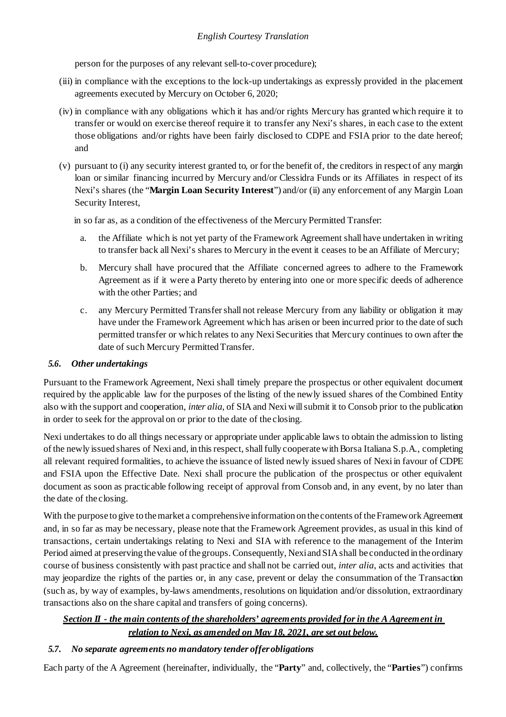person for the purposes of any relevant sell-to-cover procedure);

- (iii) in compliance with the exceptions to the lock-up undertakings as expressly provided in the placement agreements executed by Mercury on October 6, 2020;
- (iv) in compliance with any obligations which it has and/or rights Mercury has granted which require it to transfer or would on exercise thereof require it to transfer any Nexi's shares, in each case to the extent those obligations and/or rights have been fairly disclosed to CDPE and FSIA prior to the date hereof; and
- (v) pursuant to (i) any security interest granted to, or for the benefit of, the creditors in respect of any margin loan or similar financing incurred by Mercury and/or Clessidra Funds or its Affiliates in respect of its Nexi's shares (the "**Margin Loan Security Interest**") and/or (ii) any enforcement of any Margin Loan Security Interest,

in so far as, as a condition of the effectiveness of the Mercury Permitted Transfer:

- a. the Affiliate which is not yet party of the Framework Agreement shall have undertaken in writing to transfer back all Nexi's shares to Mercury in the event it ceases to be an Affiliate of Mercury;
- b. Mercury shall have procured that the Affiliate concerned agrees to adhere to the Framework Agreement as if it were a Party thereto by entering into one or more specific deeds of adherence with the other Parties; and
- c. any Mercury Permitted Transfer shall not release Mercury from any liability or obligation it may have under the Framework Agreement which has arisen or been incurred prior to the date of such permitted transfer or which relates to any Nexi Securities that Mercury continues to own after the date of such Mercury Permitted Transfer.

## *5.6. Other undertakings*

Pursuant to the Framework Agreement, Nexi shall timely prepare the prospectus or other equivalent document required by the applicable law for the purposes of the listing of the newly issued shares of the Combined Entity also with the support and cooperation, *inter alia*, of SIAand Nexi willsubmit it to Consob prior to the publication in order to seek for the approval on or prior to the date of the closing.

Nexi undertakes to do all things necessary or appropriate under applicable laws to obtain the admission to listing of the newly issued shares of Nexi and, in this respect, shall fully cooperate with Borsa Italiana S.p.A., completing all relevant required formalities, to achieve the issuance of listed newly issued shares of Nexi in favour of CDPE and FSIA upon the Effective Date. Nexi shall procure the publication of the prospectus or other equivalent document as soon as practicable following receipt of approval from Consob and, in any event, by no later than the date of the closing.

With the purpose to give to the market a comprehensive information on the contents of the Framework Agreement and, in so far as may be necessary, please note that the Framework Agreement provides, as usual in this kind of transactions, certain undertakings relating to Nexi and SIA with reference to the management of the Interim Period aimed at preserving the value of the groups. Consequently, Nexi and SIA shall be conducted in the ordinary course of business consistently with past practice and shall not be carried out, *inter alia*, acts and activities that may jeopardize the rights of the parties or, in any case, prevent or delay the consummation of the Transaction (such as, by way of examples, by-laws amendments, resolutions on liquidation and/or dissolution, extraordinary transactions also on the share capital and transfers of going concerns).

# *Section II - the main contents of the shareholders' agreements provided for in the A Agreement in relation to Nexi, as amended on May 18, 2021, are set out below.*

## *5.7. No separate agreements no mandatory tender offerobligations*

Each party of the A Agreement (hereinafter, individually, the "**Party**" and, collectively, the "**Parties**") confirms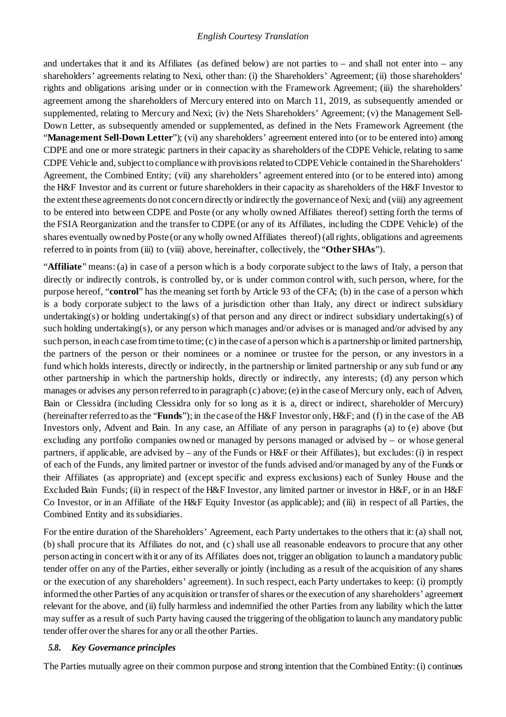and undertakes that it and its Affiliates (as defined below) are not parties to – and shall not enter into – any shareholders' agreements relating to Nexi, other than: (i) the Shareholders' Agreement; (ii) those shareholders' rights and obligations arising under or in connection with the Framework Agreement; (iii) the shareholders' agreement among the shareholders of Mercury entered into on March 11, 2019, as subsequently amended or supplemented, relating to Mercury and Nexi; (iv) the Nets Shareholders' Agreement; (v) the Management Sell-Down Letter, as subsequently amended or supplemented, as defined in the Nets Framework Agreement (the "**Management Sell-Down Letter**"); (vi) any shareholders' agreement entered into (or to be entered into) among CDPE and one or more strategic partners in their capacity as shareholders of the CDPE Vehicle, relating to same CDPE Vehicle and, subject to compliance with provisions related to CDPE Vehicle contained in the Shareholders' Agreement, the Combined Entity; (vii) any shareholders' agreement entered into (or to be entered into) among the H&F Investor and its current or future shareholders in their capacity as shareholders of the H&F Investor to the extent these agreements do not concern directly or indirectly the governance of Nexi; and (viii) any agreement to be entered into between CDPE and Poste (or any wholly owned Affiliates thereof) setting forth the terms of the FSIA Reorganization and the transfer to CDPE (or any of its Affiliates, including the CDPE Vehicle) of the shares eventually owned by Poste (or any wholly owned Affiliates thereof) (all rights, obligations and agreements referred to in points from (iii) to (viii) above, hereinafter, collectively, the "**OtherSHAs**").

"**Affiliate**" means:(a) in case of a person which is a body corporate subject to the laws of Italy, a person that directly or indirectly controls, is controlled by, or is under common control with, such person, where, for the purpose hereof, "**control**" has the meaning set forth by Article 93 of the CFA; (b) in the case of a person which is a body corporate subject to the laws of a jurisdiction other than Italy, any direct or indirect subsidiary undertaking(s) or holding undertaking(s) of that person and any direct or indirect subsidiary undertaking(s) of such holding undertaking(s), or any person which manages and/or advises or is managed and/or advised by any such person, in each case fromtime to time;(c) in the case of a personwhich is a partnership or limited partnership, the partners of the person or their nominees or a nominee or trustee for the person, or any investors in a fund which holds interests, directly or indirectly, in the partnership or limited partnership or any sub fund or any other partnership in which the partnership holds, directly or indirectly, any interests; (d) any person which manages or advises any person referred to in paragraph (c) above;(e) in the case of Mercury only, each of Adven, Bain or Clessidra (including Clessidra only for so long as it is a, direct or indirect, shareholder of Mercury) (hereinafterreferred to asthe "**Funds**"); in the case of the H&F Investor only, H&F; and (f) in the case of the AB Investors only, Advent and Bain. In any case, an Affiliate of any person in paragraphs (a) to (e) above (but excluding any portfolio companies owned or managed by persons managed or advised by – or whose general partners, if applicable, are advised by – any of the Funds or  $H \& F$  or their Affiliates), but excludes: (i) in respect of each of the Funds, any limited partner or investor of the funds advised and/or managed by any of the Funds or their Affiliates (as appropriate) and (except specific and express exclusions) each of Sunley House and the Excluded Bain Funds; (ii) in respect of the H&F Investor, any limited partner or investor in H&F, or in an H&F Co Investor, or in an Affiliate of the H&F Equity Investor (as applicable); and (iii) in respect of all Parties, the Combined Entity and its subsidiaries.

For the entire duration of the Shareholders' Agreement, each Party undertakes to the others that it: (a) shall not, (b) shall procure that its Affiliates do not, and (c) shall use all reasonable endeavors to procure that any other person acting in concert with it or any of its Affiliates does not, trigger an obligation to launch a mandatory public tender offer on any of the Parties, either severally or jointly (including as a result of the acquisition of any shares or the execution of any shareholders' agreement). In such respect, each Party undertakes to keep: (i) promptly informed the other Parties of any acquisition or transfer of shares or the execution of any shareholders' agreement relevant for the above, and (ii) fully harmless and indemnified the other Parties from any liability which the latter may suffer as a result of such Party having caused the triggering of the obligation to launch anymandatory public tender offer over the shares for any or all the other Parties.

### *5.8. Key Governance principles*

The Parties mutually agree on their common purpose and strong intention that the Combined Entity: (i) continues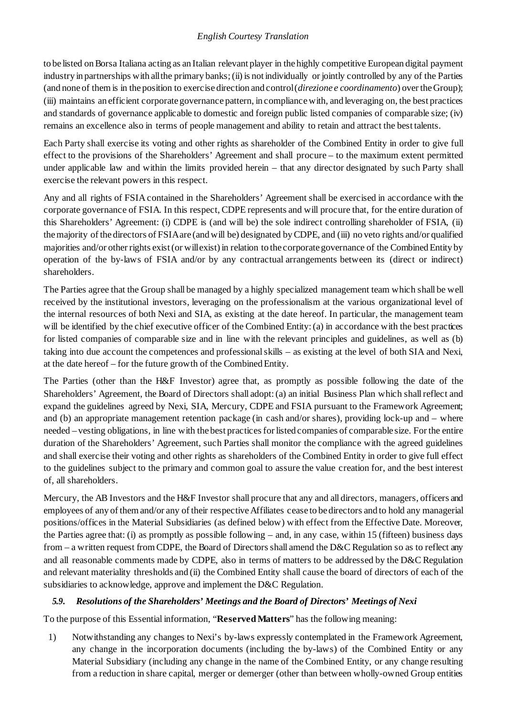to be listed on Borsa Italiana acting as an Italian relevant player in the highly competitive European digital payment industry in partnerships with allthe primary banks;(ii) is not individually or jointly controlled by any of the Parties (and none of them is in the position to exercise direction and control (*direzione e coordinamento*) over the Group); (iii) maintains an efficient corporate governance pattern, in compliance with, and leveraging on, the best practices and standards of governance applicable to domestic and foreign public listed companies of comparable size; (iv) remains an excellence also in terms of people management and ability to retain and attract the best talents.

Each Party shall exercise its voting and other rights as shareholder of the Combined Entity in order to give full effect to the provisions of the Shareholders' Agreement and shall procure – to the maximum extent permitted under applicable law and within the limits provided herein – that any director designated by such Party shall exercise the relevant powers in this respect.

Any and all rights of FSIA contained in the Shareholders' Agreement shall be exercised in accordance with the corporate governance of FSIA. In this respect, CDPE represents and will procure that, for the entire duration of this Shareholders' Agreement: (i) CDPE is (and will be) the sole indirect controlling shareholder of FSIA, (ii) the majority of the directors of FSIA are (and will be) designated by CDPE, and (iii) no veto rights and/or qualified majorities and/or other rights exist (or will exist) in relation to the corporate governance of the Combined Entity by operation of the by-laws of FSIA and/or by any contractual arrangements between its (direct or indirect) shareholders.

The Parties agree that the Group shall be managed by a highly specialized management team which shall be well received by the institutional investors, leveraging on the professionalism at the various organizational level of the internal resources of both Nexi and SIA, as existing at the date hereof. In particular, the management team will be identified by the chief executive officer of the Combined Entity: (a) in accordance with the best practices for listed companies of comparable size and in line with the relevant principles and guidelines, as well as (b) taking into due account the competences and professional skills – as existing at the level of both SIA and Nexi, at the date hereof – for the future growth of the Combined Entity.

The Parties (other than the H&F Investor) agree that, as promptly as possible following the date of the Shareholders' Agreement, the Board of Directors shall adopt: (a) an initial Business Plan which shall reflect and expand the guidelines agreed by Nexi, SIA, Mercury, CDPE and FSIA pursuant to the Framework Agreement; and (b) an appropriate management retention package (in cash and/or shares), providing lock-up and – where needed – vesting obligations, in line with the best practices for listed companies of comparable size. For the entire duration of the Shareholders' Agreement, such Parties shall monitor the compliance with the agreed guidelines and shall exercise their voting and other rights as shareholders of the Combined Entity in order to give full effect to the guidelines subject to the primary and common goal to assure the value creation for, and the best interest of, all shareholders.

Mercury, the AB Investors and the H&F Investor shall procure that any and all directors, managers, officers and employees of any of them and/or any of their respective Affiliates cease to be directors and to hold any managerial positions/offices in the Material Subsidiaries (as defined below) with effect from the Effective Date. Moreover, the Parties agree that: (i) as promptly as possible following – and, in any case, within 15 (fifteen) business days from – a written request from CDPE, the Board of Directors shall amend the D&C Regulation so as to reflect any and all reasonable comments made by CDPE, also in terms of matters to be addressed by the D&C Regulation and relevant materiality thresholds and (ii) the Combined Entity shall cause the board of directors of each of the subsidiaries to acknowledge, approve and implement the D&C Regulation.

### *5.9. Resolutions of the Shareholders' Meetings and the Board of Directors' Meetings of Nexi*

To the purpose of this Essential information, "**Reserved Matters**" has the following meaning:

1) Notwithstanding any changes to Nexi's by-laws expressly contemplated in the Framework Agreement, any change in the incorporation documents (including the by-laws) of the Combined Entity or any Material Subsidiary (including any change in the name of the Combined Entity, or any change resulting from a reduction in share capital, merger or demerger (other than between wholly-owned Group entities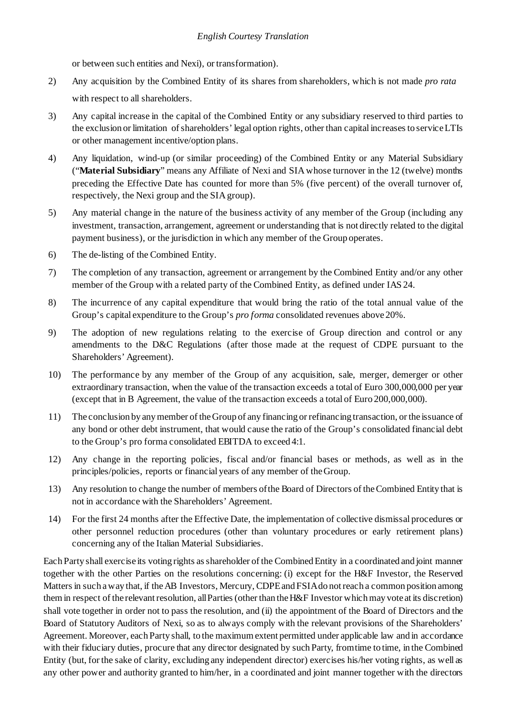or between such entities and Nexi), or transformation).

- 2) Any acquisition by the Combined Entity of its shares from shareholders, which is not made *pro rata* with respect to all shareholders.
- 3) Any capital increase in the capital of the Combined Entity or any subsidiary reserved to third parties to the exclusion or limitation of shareholders' legal option rights, other than capital increases to service LTIs or other management incentive/option plans.
- 4) Any liquidation, wind-up (or similar proceeding) of the Combined Entity or any Material Subsidiary ("**Material Subsidiary**" means any Affiliate of Nexi and SIAwhose turnover in the 12 (twelve) months preceding the Effective Date has counted for more than 5% (five percent) of the overall turnover of, respectively, the Nexi group and the SIAgroup).
- 5) Any material change in the nature of the business activity of any member of the Group (including any investment, transaction, arrangement, agreement or understanding that is not directly related to the digital payment business), or the jurisdiction in which any member of the Group operates.
- 6) The de-listing of the Combined Entity.
- 7) The completion of any transaction, agreement or arrangement by the Combined Entity and/or any other member of the Group with a related party of the Combined Entity, as defined under IAS 24.
- 8) The incurrence of any capital expenditure that would bring the ratio of the total annual value of the Group's capital expenditure to the Group's *pro forma* consolidated revenues above 20%.
- 9) The adoption of new regulations relating to the exercise of Group direction and control or any amendments to the D&C Regulations (after those made at the request of CDPE pursuant to the Shareholders' Agreement).
- 10) The performance by any member of the Group of any acquisition, sale, merger, demerger or other extraordinary transaction, when the value of the transaction exceeds a total of Euro 300,000,000 per year (except that in B Agreement, the value of the transaction exceeds a total of Euro 200,000,000).
- 11) The conclusion by anymember of theGroup of any financing or refinancing transaction, or the issuance of any bond or other debt instrument, that would cause the ratio of the Group's consolidated financial debt to the Group's pro forma consolidated EBITDA to exceed 4:1.
- 12) Any change in the reporting policies, fiscal and/or financial bases or methods, as well as in the principles/policies, reports or financial years of any member of theGroup.
- 13) Any resolution to change the number of members ofthe Board of Directors of theCombined Entity that is not in accordance with the Shareholders' Agreement.
- 14) For the first 24 months after the Effective Date, the implementation of collective dismissal procedures or other personnel reduction procedures (other than voluntary procedures or early retirement plans) concerning any of the Italian Material Subsidiaries.

Each Party shall exercise its voting rights as shareholder of the Combined Entity in a coordinated and joint manner together with the other Parties on the resolutions concerning: (i) except for the H&F Investor, the Reserved Matters in such a way that, if the AB Investors, Mercury, CDPE and FSIA do not reach a common position among them in respect of the relevant resolution, all Parties (other than the H&F Investor which may vote at its discretion) shall vote together in order not to pass the resolution, and (ii) the appointment of the Board of Directors and the Board of Statutory Auditors of Nexi, so as to always comply with the relevant provisions of the Shareholders' Agreement. Moreover, each Party shall, to the maximum extent permitted under applicable law and in accordance with their fiduciary duties, procure that any director designated by such Party, from time to time, in the Combined Entity (but, for the sake of clarity, excluding any independent director) exercises his/her voting rights, as well as any other power and authority granted to him/her, in a coordinated and joint manner together with the directors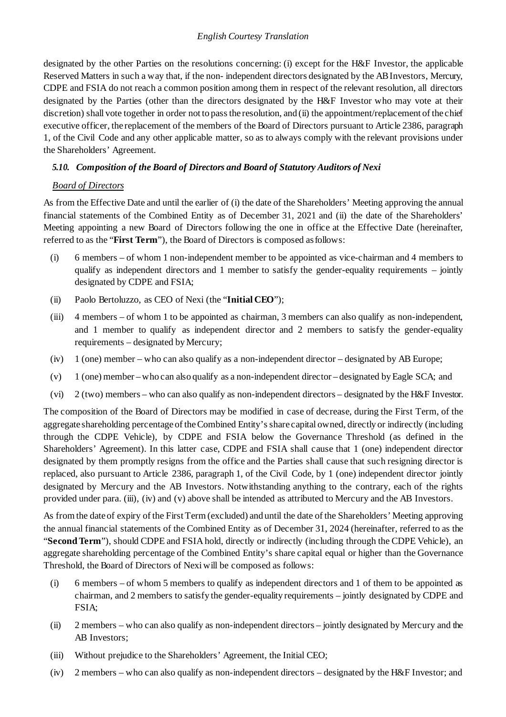designated by the other Parties on the resolutions concerning: (i) except for the H&F Investor, the applicable Reserved Matters in such a way that, if the non- independent directors designated by the AB Investors, Mercury, CDPE and FSIA do not reach a common position among them in respect of the relevant resolution, all directors designated by the Parties (other than the directors designated by the H&F Investor who may vote at their discretion) shall vote together in order not to pass the resolution, and (ii) the appointment/replacement of the chief executive officer, the replacement of the members of the Board of Directors pursuant to Article 2386, paragraph 1, of the Civil Code and any other applicable matter, so as to always comply with the relevant provisions under the Shareholders' Agreement.

### *5.10. Composition of the Board of Directors and Board of Statutory Auditors of Nexi*

### *Board of Directors*

As from the Effective Date and until the earlier of (i) the date of the Shareholders' Meeting approving the annual financial statements of the Combined Entity as of December 31, 2021 and (ii) the date of the Shareholders' Meeting appointing a new Board of Directors following the one in office at the Effective Date (hereinafter, referred to as the "**First Term**"), the Board of Directors is composed asfollows:

- (i) 6 members of whom 1 non-independent member to be appointed as vice-chairman and 4 members to qualify as independent directors and 1 member to satisfy the gender-equality requirements  $-$  jointly designated by CDPE and FSIA;
- (ii) Paolo Bertoluzzo, as CEO of Nexi (the "**Initial CEO**");
- (iii) 4 members of whom 1 to be appointed as chairman, 3 members can also qualify as non-independent, and 1 member to qualify as independent director and 2 members to satisfy the gender-equality requirements – designated by Mercury;
- (iv) 1 (one) member who can also qualify as a non-independent director designated by AB Europe;
- (v) 1 (one) member who can also qualify as a non-independent director designated by Eagle SCA; and
- (vi) 2 (two) members who can also qualify as non-independent directors designated by the H&F Investor.

The composition of the Board of Directors may be modified in case of decrease, during the First Term, of the aggregate shareholding percentage of the Combined Entity's share capital owned, directly or indirectly (including through the CDPE Vehicle), by CDPE and FSIA below the Governance Threshold (as defined in the Shareholders' Agreement). In this latter case, CDPE and FSIA shall cause that 1 (one) independent director designated by them promptly resigns from the office and the Parties shall cause that such resigning director is replaced, also pursuant to Article 2386, paragraph 1, of the Civil Code, by 1 (one) independent director jointly designated by Mercury and the AB Investors. Notwithstanding anything to the contrary, each of the rights provided under para. (iii), (iv) and (v) above shall be intended as attributed to Mercury and the AB Investors.

As from the date of expiry of the First Term (excluded) and until the date of the Shareholders' Meeting approving the annual financial statements of the Combined Entity as of December 31, 2024 (hereinafter, referred to as the "**Second Term**"), should CDPE and FSIA hold, directly or indirectly (including through the CDPE Vehicle), an aggregate shareholding percentage of the Combined Entity's share capital equal or higher than the Governance Threshold, the Board of Directors of Nexi will be composed as follows:

- (i) 6 members of whom 5 members to qualify as independent directors and 1 of them to be appointed as chairman, and 2 members to satisfy the gender-equality requirements – jointly designated by CDPE and FSIA;
- (ii) 2 members who can also qualify as non-independent directors jointly designated by Mercury and the AB Investors;
- (iii) Without prejudice to the Shareholders' Agreement, the Initial CEO;
- (iv) 2 members who can also qualify as non-independent directors designated by the H&F Investor; and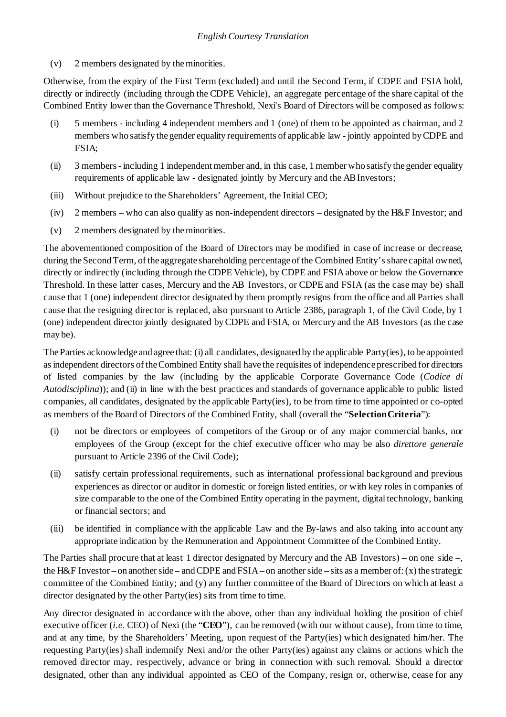(v) 2 members designated by theminorities.

Otherwise, from the expiry of the First Term (excluded) and until the Second Term, if CDPE and FSIA hold, directly or indirectly (including through the CDPE Vehicle), an aggregate percentage of the share capital of the Combined Entity lower than the Governance Threshold, Nexi's Board of Directors will be composed as follows:

- (i) 5 members including 4 independent members and 1 (one) of them to be appointed as chairman, and 2 members who satisfy the gender equality requirements of applicable law - jointly appointed by CDPE and FSIA;
- (ii) 3 members including 1 independent member and, in this case, 1 member who satisfy the gender equality requirements of applicable law - designated jointly by Mercury and the ABInvestors;
- (iii) Without prejudice to the Shareholders' Agreement, the Initial CEO;
- (iv) 2 members who can also qualify as non-independent directors designated by the H&F Investor; and
- (v) 2 members designated by theminorities.

The abovementioned composition of the Board of Directors may be modified in case of increase or decrease, during the Second Term, of the aggregate shareholding percentage of the Combined Entity's share capital owned, directly or indirectly (including through the CDPE Vehicle), by CDPE and FSIA above or below the Governance Threshold. In these latter cases, Mercury and the AB Investors, or CDPE and FSIA (as the case may be) shall cause that 1 (one) independent director designated by them promptly resigns from the office and all Parties shall cause that the resigning director is replaced, also pursuant to Article 2386, paragraph 1, of the Civil Code, by 1 (one) independent director jointly designated byCDPE and FSIA, or Mercury and the AB Investors (as the case may be).

The Parties acknowledge and agree that: (i) all candidates, designated by the applicable Party(ies), to be appointed as independent directors of the Combined Entity shall have the requisites of independence prescribed for directors of listed companies by the law (including by the applicable Corporate Governance Code (*Codice di Autodisciplina*)); and (ii) in line with the best practices and standards of governance applicable to public listed companies, all candidates, designated by the applicable Party(ies), to be from time to time appointed or co-opted as members of the Board of Directors of the Combined Entity, shall (overall the "**SelectionCriteria**"):

- (i) not be directors or employees of competitors of the Group or of any major commercial banks, nor employees of the Group (except for the chief executive officer who may be also *direttore generale*  pursuant to Article 2396 of the Civil Code);
- (ii) satisfy certain professional requirements, such as international professional background and previous experiences as director or auditor in domestic or foreign listed entities, or with key roles in companies of size comparable to the one of the Combined Entity operating in the payment, digital technology, banking or financial sectors; and
- (iii) be identified in compliance with the applicable Law and the By-laws and also taking into account any appropriate indication by the Remuneration and Appointment Committee of the Combined Entity.

The Parties shall procure that at least 1 director designated by Mercury and the AB Investors) – on one side –, the H&F Investor – on another side – and CDPE and FSIA – on another side – sits as a member of: (x) the strategic committee of the Combined Entity; and (y) any further committee of the Board of Directors on which at least a director designated by the other Party(ies) sits from time to time.

Any director designated in accordance with the above, other than any individual holding the position of chief executive officer (*i.e.* CEO) of Nexi (the "**CEO**"), can be removed (with our without cause), from time to time, and at any time, by the Shareholders' Meeting, upon request of the Party(ies) which designated him/her. The requesting Party(ies) shall indemnify Nexi and/or the other Party(ies) against any claims or actions which the removed director may, respectively, advance or bring in connection with such removal. Should a director designated, other than any individual appointed as CEO of the Company, resign or, otherwise, cease for any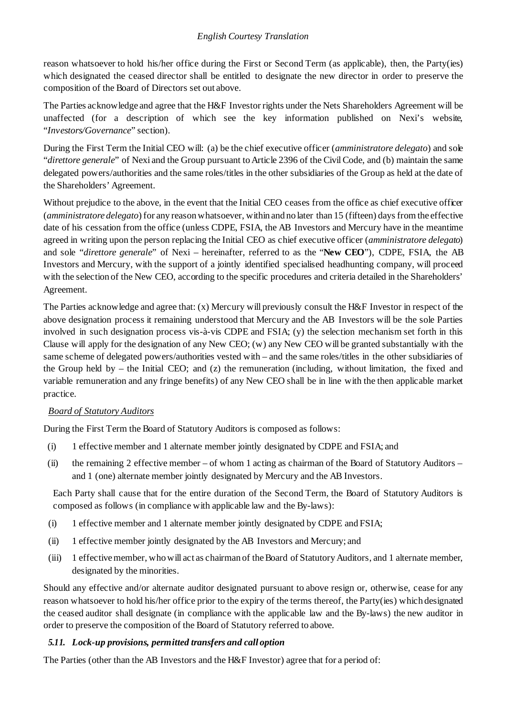reason whatsoever to hold his/her office during the First or Second Term (as applicable), then, the Party(ies) which designated the ceased director shall be entitled to designate the new director in order to preserve the composition of the Board of Directors set out above.

The Parties acknowledge and agree that the H&F Investor rights under the Nets Shareholders Agreement will be unaffected (for a description of which see the key information published on Nexi's website, "*Investors/Governance*" section).

During the First Term the Initial CEO will: (a) be the chief executive officer (*amministratore delegato*) and sole "*direttore* generale" of Nexi and the Group pursuant to Article 2396 of the Civil Code, and (b) maintain the same delegated powers/authorities and the same roles/titles in the other subsidiaries of the Group as held at the date of the Shareholders' Agreement.

Without prejudice to the above, in the event that the Initial CEO ceases from the office as chief executive officer (*amministratore delegato*) for any reason whatsoever, within and no later than 15 (fifteen) days from the effective date of his cessation from the office (unless CDPE, FSIA, the AB Investors and Mercury have in the meantime agreed in writing upon the person replacing the Initial CEO as chief executive officer (*amministratore delegato*) and sole "*direttore generale*" of Nexi – hereinafter, referred to as the "**New CEO**"), CDPE, FSIA, the AB Investors and Mercury, with the support of a jointly identified specialised headhunting company, will proceed with the selection of the New CEO, according to the specific procedures and criteria detailed in the Shareholders' Agreement.

The Parties acknowledge and agree that: (x) Mercury will previously consult the H&F Investor in respect of the above designation process it remaining understood that Mercury and the AB Investors will be the sole Parties involved in such designation process vis-à-vis CDPE and FSIA; (y) the selection mechanism set forth in this Clause will apply for the designation of any New CEO; (w) any New CEO will be granted substantially with the same scheme of delegated powers/authorities vested with – and the same roles/titles in the other subsidiaries of the Group held by – the Initial CEO; and (z) the remuneration (including, without limitation, the fixed and variable remuneration and any fringe benefits) of any New CEO shall be in line with the then applicable market practice.

# *Board of Statutory Auditors*

During the First Term the Board of Statutory Auditors is composed as follows:

- (i) 1 effective member and 1 alternate member jointly designated by CDPE and FSIA; and
- (ii) the remaining 2 effective member of whom 1 acting as chairman of the Board of Statutory Auditors and 1 (one) alternate member jointly designated by Mercury and the AB Investors.

Each Party shall cause that for the entire duration of the Second Term, the Board of Statutory Auditors is composed as follows (in compliance with applicable law and the By-laws):

- (i) 1 effective member and 1 alternate member jointly designated by CDPE and FSIA;
- (ii) 1 effective member jointly designated by the AB Investors and Mercury; and
- (iii) 1 effective member, who will act as chairman of the Board of Statutory Auditors, and 1 alternate member, designated by the minorities.

Should any effective and/or alternate auditor designated pursuant to above resign or, otherwise, cease for any reason whatsoever to hold his/her office prior to the expiry of the terms thereof, the Party(ies) which designated the ceased auditor shall designate (in compliance with the applicable law and the By-laws) the new auditor in order to preserve the composition of the Board of Statutory referred to above.

## *5.11. Lock-up provisions, permitted transfers and call option*

The Parties (other than the AB Investors and the H&F Investor) agree that for a period of: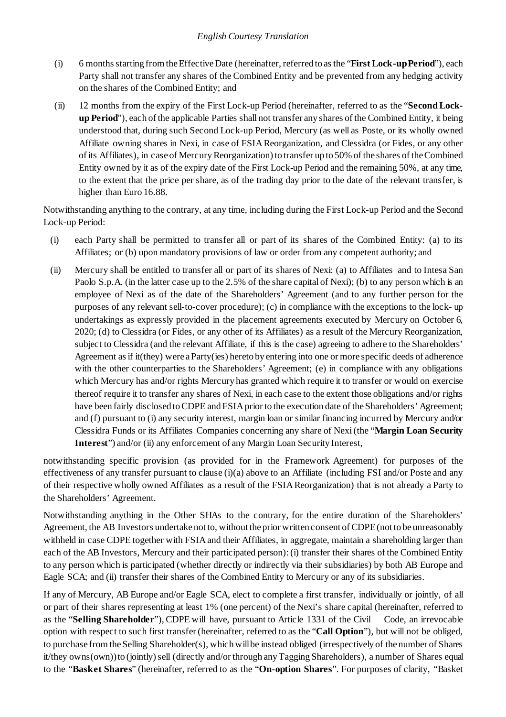- (i) 6 months starting from the Effective Date (hereinafter, referred to as the "**First Lock-up Period**"), each Party shall not transfer any shares of the Combined Entity and be prevented from any hedging activity on the shares of the Combined Entity; and
- (ii) 12 months from the expiry of the First Lock-up Period (hereinafter, referred to as the "**Second Lockup Period**"), each of the applicable Parties shall not transfer any shares of the Combined Entity, it being understood that, during such Second Lock-up Period, Mercury (as well as Poste, or its wholly owned Affiliate owning shares in Nexi, in case of FSIA Reorganization, and Clessidra (or Fides, or any other of its Affiliates), in case of Mercury Reorganization) to transfer up to 50% of the shares of the Combined Entity owned by it as of the expiry date of the First Lock-up Period and the remaining 50%, at any time, to the extent that the price per share, as of the trading day prior to the date of the relevant transfer, is higher than Euro 16.88.

Notwithstanding anything to the contrary, at any time, including during the First Lock-up Period and the Second Lock-up Period:

- (i) each Party shall be permitted to transfer all or part of its shares of the Combined Entity: (a) to its Affiliates; or (b) upon mandatory provisions of law or order from any competent authority; and
- (ii) Mercury shall be entitled to transfer all or part of its shares of Nexi: (a) to Affiliates and to Intesa San Paolo S.p.A. (in the latter case up to the 2.5% of the share capital of Nexi); (b) to any person which is an employee of Nexi as of the date of the Shareholders' Agreement (and to any further person for the purposes of any relevant sell-to-cover procedure); (c) in compliance with the exceptions to the lock- up undertakings as expressly provided in the placement agreements executed by Mercury on October 6, 2020; (d) to Clessidra (or Fides, or any other of its Affiliates) as a result of the Mercury Reorganization, subject to Clessidra (and the relevant Affiliate, if this is the case) agreeing to adhere to the Shareholders' Agreement as if it(they) were a Party(ies) hereto by entering into one or more specific deeds of adherence with the other counterparties to the Shareholders' Agreement; (e) in compliance with any obligations which Mercury has and/or rights Mercury has granted which require it to transfer or would on exercise thereof require it to transfer any shares of Nexi, in each case to the extent those obligations and/or rights have been fairly disclosed to CDPE and FSIA prior to the execution date of the Shareholders' Agreement; and (f) pursuant to (i) any security interest, margin loan or similar financing incurred by Mercury and/or Clessidra Funds or its Affiliates Companies concerning any share of Nexi (the "**Margin Loan Security Interest**") and/or (ii) any enforcement of any Margin Loan Security Interest,

notwithstanding specific provision (as provided for in the Framework Agreement) for purposes of the effectiveness of any transfer pursuant to clause (i)(a) above to an Affiliate (including FSI and/or Poste and any of their respective wholly owned Affiliates as a result of the FSIA Reorganization) that is not already a Party to the Shareholders' Agreement.

Notwithstanding anything in the Other SHAs to the contrary, for the entire duration of the Shareholders' Agreement, the AB Investors undertake not to, without the prior written consent of CDPE (not to be unreasonably withheld in case CDPE together with FSIA and their Affiliates, in aggregate, maintain a shareholding larger than each of the AB Investors, Mercury and their participated person): (i) transfer their shares of the Combined Entity to any person which is participated (whether directly or indirectly via their subsidiaries) by both AB Europe and Eagle SCA; and (ii) transfer their shares of the Combined Entity to Mercury or any of its subsidiaries.

If any of Mercury, AB Europe and/or Eagle SCA, elect to complete a first transfer, individually or jointly, of all or part of their shares representing at least 1% (one percent) of the Nexi's share capital (hereinafter, referred to as the "**Selling Shareholder**"), CDPE will have, pursuant to Article 1331 of the Civil Code, an irrevocable option with respect to such first transfer (hereinafter, referred to as the "**Call Option**"), but will not be obliged, to purchase from the Selling Shareholder(s), which will be instead obliged (irrespectively of the number of Shares it/they owns(own))to (jointly) sell (directly and/or through any Tagging Shareholders), a number of Shares equal to the "**Basket Shares**" (hereinafter, referred to as the "**On-option Shares**". For purposes of clarity, "Basket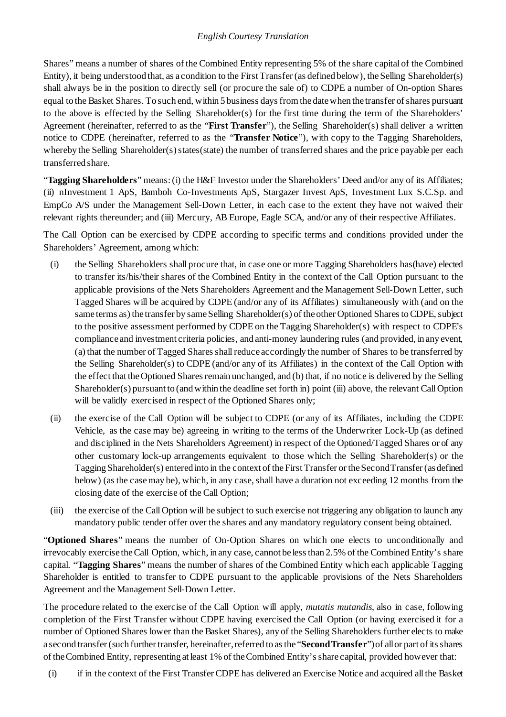Shares" means a number of shares of the Combined Entity representing 5% of the share capital of the Combined Entity), it being understood that, as a condition to the First Transfer (as defined below), the Selling Shareholder(s) shall always be in the position to directly sell (or procure the sale of) to CDPE a number of On-option Shares equal to the Basket Shares. To such end, within 5 business days from the date when the transfer of shares pursuant to the above is effected by the Selling Shareholder(s) for the first time during the term of the Shareholders' Agreement (hereinafter, referred to as the "**First Transfer**"), the Selling Shareholder(s) shall deliver a written notice to CDPE (hereinafter, referred to as the "**Transfer Notice**"), with copy to the Tagging Shareholders, whereby the Selling Shareholder(s) states(state) the number of transferred shares and the price payable per each transferred share.

"**Tagging Shareholders**" means: (i) the H&F Investor under the Shareholders' Deed and/or any of its Affiliates; (ii) nInvestment 1 ApS, Bamboh Co-Investments ApS, Stargazer Invest ApS, Investment Lux S.C.Sp. and EmpCo A/S under the Management Sell-Down Letter, in each case to the extent they have not waived their relevant rights thereunder; and (iii) Mercury, AB Europe, Eagle SCA, and/or any of their respective Affiliates.

The Call Option can be exercised by CDPE according to specific terms and conditions provided under the Shareholders' Agreement, among which:

- (i) the Selling Shareholders shall procure that, in case one or more Tagging Shareholders has(have) elected to transfer its/his/their shares of the Combined Entity in the context of the Call Option pursuant to the applicable provisions of the Nets Shareholders Agreement and the Management Sell-Down Letter, such Tagged Shares will be acquired by CDPE (and/or any of its Affiliates) simultaneously with (and on the same terms as) the transfer by same Selling Shareholder(s) of the other Optioned Shares to CDPE, subject to the positive assessment performed by CDPE on the Tagging Shareholder(s) with respect to CDPE's compliance and investment criteria policies, and anti-money laundering rules (and provided, in any event, (a) that the number of Tagged Sharesshallreduce accordingly the number of Shares to be transferred by the Selling Shareholder(s) to CDPE (and/or any of its Affiliates) in the context of the Call Option with the effect that the Optioned Shares remain unchanged, and (b) that, if no notice is delivered by the Selling Shareholder(s) pursuant to (and within the deadline set forth in) point (iii) above, the relevant Call Option will be validly exercised in respect of the Optioned Shares only;
- (ii) the exercise of the Call Option will be subject to CDPE (or any of its Affiliates, including the CDPE Vehicle, as the case may be) agreeing in writing to the terms of the Underwriter Lock-Up (as defined and disciplined in the Nets Shareholders Agreement) in respect of the Optioned/Tagged Shares or of any other customary lock-up arrangements equivalent to those which the Selling Shareholder(s) or the Tagging Shareholder(s) entered into in the context of the First Transfer or the Second Transfer (as defined below) (as the case may be), which, in any case, shall have a duration not exceeding 12 months from the closing date of the exercise of the Call Option;
- (iii) the exercise of the Call Option will be subject to such exercise not triggering any obligation to launch any mandatory public tender offer over the shares and any mandatory regulatory consent being obtained.

"**Optioned Shares**" means the number of On-Option Shares on which one elects to unconditionally and irrevocably exercise the Call Option, which, in any case, cannot be less than 2.5% of the Combined Entity's share capital. "**Tagging Shares**" means the number of shares of the Combined Entity which each applicable Tagging Shareholder is entitled to transfer to CDPE pursuant to the applicable provisions of the Nets Shareholders Agreement and the Management Sell-Down Letter.

The procedure related to the exercise of the Call Option will apply, *mutatis mutandis*, also in case, following completion of the First Transfer without CDPE having exercised the Call Option (or having exercised it for a number of Optioned Shares lower than the Basket Shares), any of the Selling Shareholders further elects to make a second transfer (such further transfer, hereinafter, referred to as the "**Second Transfer**") of all or part of its shares of theCombined Entity, representing at least 1% of theCombined Entity'sshare capital, provided however that:

(i) if in the context of the First Transfer CDPE has delivered an Exercise Notice and acquired all the Basket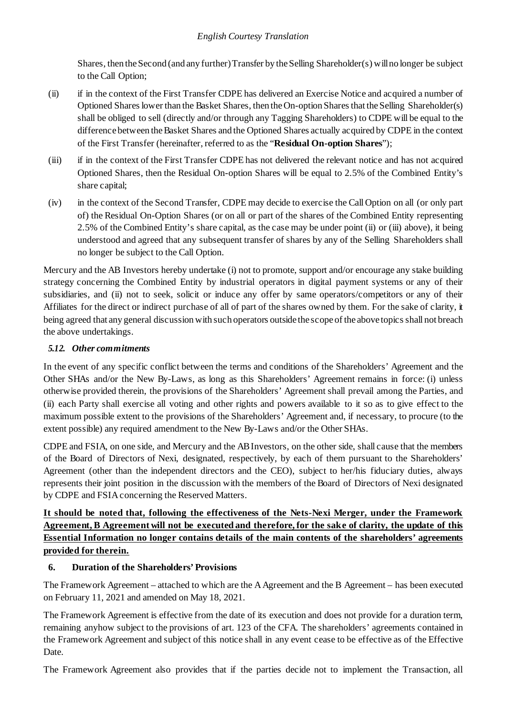Shares, then the Second (and any further) Transfer by the Selling Shareholder(s) will no longer be subject to the Call Option;

- (ii) if in the context of the First Transfer CDPE has delivered an Exercise Notice and acquired a number of Optioned Shares lower than the Basket Shares, then the On-option Shares that the Selling Shareholder(s) shall be obliged to sell (directly and/or through any Tagging Shareholders) to CDPE will be equal to the difference between the Basket Shares and the Optioned Shares actually acquired by CDPE in the context of the First Transfer (hereinafter, referred to as the "**Residual On-option Shares**");
- (iii) if in the context of the First Transfer CDPE has not delivered the relevant notice and has not acquired Optioned Shares, then the Residual On-option Shares will be equal to 2.5% of the Combined Entity's share capital;
- (iv) in the context of the Second Transfer, CDPE may decide to exercise the Call Option on all (or only part of) the Residual On-Option Shares (or on all or part of the shares of the Combined Entity representing 2.5% of the Combined Entity's share capital, as the case may be under point (ii) or (iii) above), it being understood and agreed that any subsequent transfer of shares by any of the Selling Shareholders shall no longer be subject to the Call Option.

Mercury and the AB Investors hereby undertake (i) not to promote, support and/or encourage any stake building strategy concerning the Combined Entity by industrial operators in digital payment systems or any of their subsidiaries, and (ii) not to seek, solicit or induce any offer by same operators/competitors or any of their Affiliates for the direct or indirect purchase of all of part of the shares owned by them. For the sake of clarity, it being agreed that any general discussion with such operators outside the scope of the above topics shall not breach the above undertakings.

## *5.12. Other commitments*

In the event of any specific conflict between the terms and conditions of the Shareholders' Agreement and the Other SHAs and/or the New By-Laws, as long as this Shareholders' Agreement remains in force: (i) unless otherwise provided therein, the provisions of the Shareholders' Agreement shall prevail among the Parties, and (ii) each Party shall exercise all voting and other rights and powers available to it so as to give effect to the maximum possible extent to the provisions of the Shareholders' Agreement and, if necessary, to procure (to the extent possible) any required amendment to the New By-Laws and/or the Other SHAs.

CDPE and FSIA, on one side, and Mercury and the AB Investors, on the other side, shall cause that the members of the Board of Directors of Nexi, designated, respectively, by each of them pursuant to the Shareholders' Agreement (other than the independent directors and the CEO), subject to her/his fiduciary duties, always represents their joint position in the discussion with the members of the Board of Directors of Nexi designated by CDPE and FSIA concerning the Reserved Matters.

## **It should be noted that, following the effectiveness of the Nets-Nexi Merger, under the Framework Agreement, B Agreement will not be executed and therefore, for the sake of clarity, the update of this Essential Information no longer contains details of the main contents of the shareholders' agreements provided for therein.**

## **6. Duration of the Shareholders' Provisions**

The Framework Agreement – attached to which are the A Agreement and the B Agreement – has been executed on February 11, 2021 and amended on May 18, 2021.

The Framework Agreement is effective from the date of its execution and does not provide for a duration term, remaining anyhow subject to the provisions of art. 123 of the CFA. The shareholders' agreements contained in the Framework Agreement and subject of this notice shall in any event cease to be effective as of the Effective Date.

The Framework Agreement also provides that if the parties decide not to implement the Transaction, all